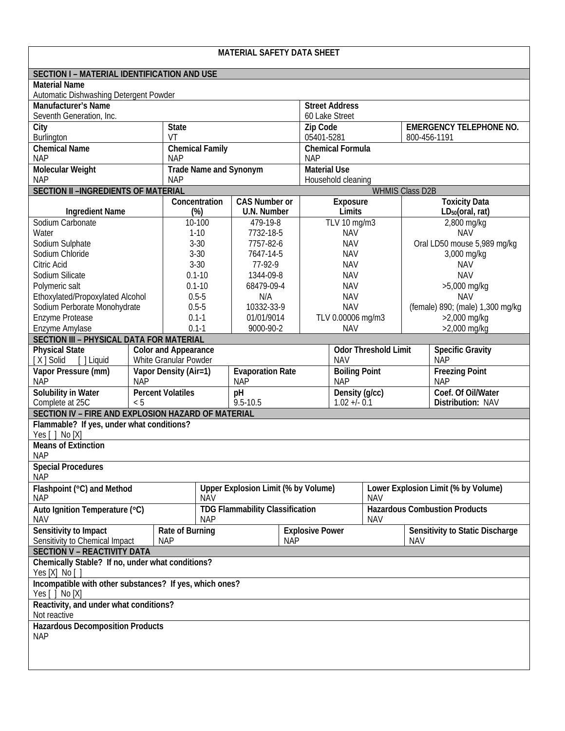| <b>MATERIAL SAFETY DATA SHEET</b>                                                             |              |                                       |                                            |            |                                                            |            |                             |                                        |                                     |  |
|-----------------------------------------------------------------------------------------------|--------------|---------------------------------------|--------------------------------------------|------------|------------------------------------------------------------|------------|-----------------------------|----------------------------------------|-------------------------------------|--|
| SECTION I - MATERIAL IDENTIFICATION AND USE                                                   |              |                                       |                                            |            |                                                            |            |                             |                                        |                                     |  |
| <b>Material Name</b>                                                                          |              |                                       |                                            |            |                                                            |            |                             |                                        |                                     |  |
| Automatic Dishwashing Detergent Powder<br><b>Manufacturer's Name</b><br><b>Street Address</b> |              |                                       |                                            |            |                                                            |            |                             |                                        |                                     |  |
| Seventh Generation, Inc.                                                                      |              |                                       |                                            |            | 60 Lake Street                                             |            |                             |                                        |                                     |  |
| City                                                                                          | <b>State</b> |                                       |                                            | Zip Code   |                                                            |            |                             | <b>EMERGENCY TELEPHONE NO.</b>         |                                     |  |
| Burlington                                                                                    |              | VT                                    |                                            | 05401-5281 |                                                            |            |                             | 800-456-1191                           |                                     |  |
| Chemical Name<br><b>NAP</b>                                                                   |              | <b>Chemical Family</b><br><b>NAP</b>  |                                            |            | <b>Chemical Formula</b><br><b>NAP</b>                      |            |                             |                                        |                                     |  |
| Molecular Weight                                                                              |              | <b>Trade Name and Synonym</b>         |                                            |            | <b>Material Use</b>                                        |            |                             |                                        |                                     |  |
| <b>NAP</b>                                                                                    |              | <b>NAP</b>                            |                                            |            | Household cleaning                                         |            |                             |                                        |                                     |  |
| SECTION II -INGREDIENTS OF MATERIAL                                                           |              | Concentration<br><b>CAS Number or</b> |                                            |            | <b>WHMIS Class D2B</b><br><b>Toxicity Data</b><br>Exposure |            |                             |                                        |                                     |  |
| <b>Ingredient Name</b>                                                                        |              | (%)                                   | U.N. Number                                |            | Limits                                                     |            |                             | LD <sub>50</sub> (oral, rat)           |                                     |  |
| Sodium Carbonate                                                                              |              | 10-100                                | 479-19-8                                   |            | TLV 10 mg/m3                                               |            | 2,800 mg/kg                 |                                        |                                     |  |
| Water                                                                                         |              | $1-10$                                | 7732-18-5                                  |            | <b>NAV</b>                                                 |            | <b>NAV</b>                  |                                        |                                     |  |
| Sodium Sulphate                                                                               |              | $3 - 30$                              | 7757-82-6                                  |            | <b>NAV</b>                                                 |            | Oral LD50 mouse 5,989 mg/kg |                                        |                                     |  |
| Sodium Chloride                                                                               |              | $3 - 30$                              | 7647-14-5                                  |            |                                                            | <b>NAV</b> |                             | 3,000 mg/kg                            |                                     |  |
| Citric Acid                                                                                   |              | $3 - 30$                              |                                            | 77-92-9    |                                                            | <b>NAV</b> |                             | <b>NAV</b>                             |                                     |  |
| Sodium Silicate                                                                               |              | $0.1 - 10$                            |                                            | 1344-09-8  |                                                            | <b>NAV</b> |                             | <b>NAV</b>                             |                                     |  |
| Polymeric salt                                                                                |              | $0.1 - 10$                            | 68479-09-4                                 |            | <b>NAV</b>                                                 |            |                             | >5,000 mg/kg                           |                                     |  |
| Ethoxylated/Propoxylated Alcohol                                                              |              | $0.5 - 5$                             | N/A                                        |            |                                                            | <b>NAV</b> |                             | <b>NAV</b>                             |                                     |  |
| Sodium Perborate Monohydrate                                                                  |              | $0.5 - 5$                             | 10332-33-9                                 |            | <b>NAV</b>                                                 |            |                             | (female) 890; (male) 1,300 mg/kg       |                                     |  |
| Enzyme Protease                                                                               |              | $0.1 - 1$                             | 01/01/9014                                 |            | TLV 0.00006 mg/m3                                          |            |                             | $>2,000$ mg/kg                         |                                     |  |
| Enzyme Amylase                                                                                |              | $0.1 - 1$                             | 9000-90-2                                  |            | <b>NAV</b>                                                 |            |                             | >2,000 mg/kg                           |                                     |  |
| SECTION III - PHYSICAL DATA FOR MATERIAL                                                      |              |                                       |                                            |            |                                                            |            |                             |                                        |                                     |  |
| <b>Physical State</b>                                                                         |              | <b>Color and Appearance</b>           |                                            |            |                                                            |            | <b>Odor Threshold Limit</b> |                                        | <b>Specific Gravity</b>             |  |
| White Granular Powder<br>[X] Solid<br>[ ] Liquid                                              |              |                                       |                                            |            | <b>NAV</b>                                                 |            |                             | <b>NAP</b>                             |                                     |  |
| Vapor Pressure (mm)<br><b>NAP</b>                                                             | <b>NAP</b>   | Vapor Density (Air=1)                 | <b>Evaporation Rate</b><br><b>NAP</b>      |            | <b>Boiling Point</b><br><b>NAP</b>                         |            |                             |                                        | <b>Freezing Point</b><br><b>NAP</b> |  |
| Solubility in Water                                                                           |              | <b>Percent Volatiles</b>              | pH                                         |            | Density (g/cc)                                             |            |                             |                                        | Coef. Of Oil/Water                  |  |
| Complete at 25C<br>< 5                                                                        |              |                                       | $9.5 - 10.5$                               |            | $1.02 + 0.1$                                               |            |                             | Distribution: NAV                      |                                     |  |
| SECTION IV - FIRE AND EXPLOSION HAZARD OF MATERIAL                                            |              |                                       |                                            |            |                                                            |            |                             |                                        |                                     |  |
| Flammable? If yes, under what conditions?<br>Yes [ ] No [X]                                   |              |                                       |                                            |            |                                                            |            |                             |                                        |                                     |  |
| <b>Means of Extinction</b><br><b>NAP</b>                                                      |              |                                       |                                            |            |                                                            |            |                             |                                        |                                     |  |
| <b>Special Procedures</b><br><b>NAP</b>                                                       |              |                                       |                                            |            |                                                            |            |                             |                                        |                                     |  |
| Flashpoint (°C) and Method                                                                    |              | <b>NAV</b>                            | <b>Upper Explosion Limit (% by Volume)</b> |            |                                                            | <b>NAV</b> |                             | Lower Explosion Limit (% by Volume)    |                                     |  |
| <b>NAP</b><br>Auto Ignition Temperature (°C)                                                  |              |                                       | <b>TDG Flammability Classification</b>     |            |                                                            |            |                             | <b>Hazardous Combustion Products</b>   |                                     |  |
| <b>NAV</b><br>Sensitivity to Impact                                                           |              | Rate of Burning                       | <b>NAP</b>                                 |            | <b>NAV</b><br><b>Explosive Power</b>                       |            |                             | <b>Sensitivity to Static Discharge</b> |                                     |  |
| <b>NAP</b><br>Sensitivity to Chemical Impact<br><b>NAP</b><br><b>NAV</b>                      |              |                                       |                                            |            |                                                            |            |                             |                                        |                                     |  |
| <b>SECTION V - REACTIVITY DATA</b>                                                            |              |                                       |                                            |            |                                                            |            |                             |                                        |                                     |  |
| Chemically Stable? If no, under what conditions?<br>Yes [X] No [ ]                            |              |                                       |                                            |            |                                                            |            |                             |                                        |                                     |  |
| Incompatible with other substances? If yes, which ones?<br>Yes [ ] No [X]                     |              |                                       |                                            |            |                                                            |            |                             |                                        |                                     |  |
| Reactivity, and under what conditions?<br>Not reactive                                        |              |                                       |                                            |            |                                                            |            |                             |                                        |                                     |  |
| <b>Hazardous Decomposition Products</b><br><b>NAP</b>                                         |              |                                       |                                            |            |                                                            |            |                             |                                        |                                     |  |
|                                                                                               |              |                                       |                                            |            |                                                            |            |                             |                                        |                                     |  |
|                                                                                               |              |                                       |                                            |            |                                                            |            |                             |                                        |                                     |  |